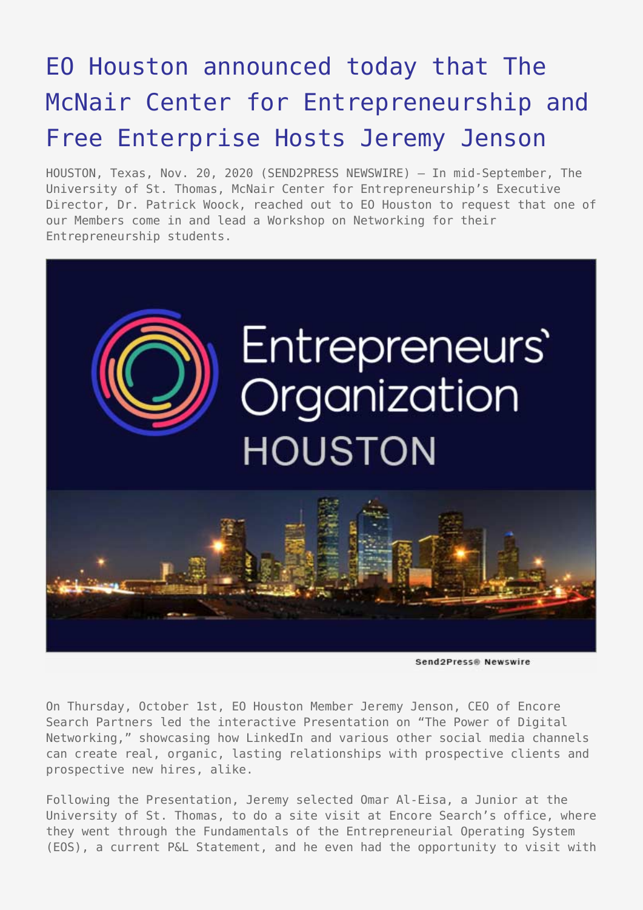## [EO Houston announced today that The](https://www.send2press.com/wire/eo-houston-announced-today-that-the-mcnair-center-for-entrepreneurship-and-free-enterprise-hosts-jeremy-jenson/) [McNair Center for Entrepreneurship and](https://www.send2press.com/wire/eo-houston-announced-today-that-the-mcnair-center-for-entrepreneurship-and-free-enterprise-hosts-jeremy-jenson/) [Free Enterprise Hosts Jeremy Jenson](https://www.send2press.com/wire/eo-houston-announced-today-that-the-mcnair-center-for-entrepreneurship-and-free-enterprise-hosts-jeremy-jenson/)

HOUSTON, Texas, Nov. 20, 2020 (SEND2PRESS NEWSWIRE) — In mid-September, The University of St. Thomas, McNair Center for Entrepreneurship's Executive Director, Dr. Patrick Woock, reached out to EO Houston to request that one of our Members come in and lead a Workshop on Networking for their Entrepreneurship students.



Send2Press@ Newswire

On Thursday, October 1st, EO Houston Member Jeremy Jenson, CEO of Encore Search Partners led the interactive Presentation on "The Power of Digital Networking," showcasing how LinkedIn and various other social media channels can create real, organic, lasting relationships with prospective clients and prospective new hires, alike.

Following the Presentation, Jeremy selected Omar Al-Eisa, a Junior at the University of St. Thomas, to do a site visit at Encore Search's office, where they went through the Fundamentals of the Entrepreneurial Operating System (EOS), a current P&L Statement, and he even had the opportunity to visit with